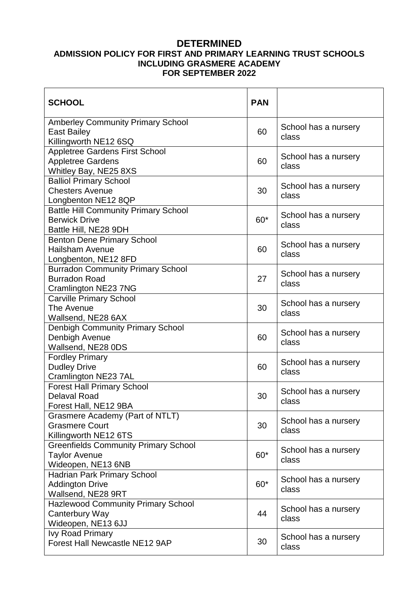# **DETERMINED**

### **ADMISSION POLICY FOR FIRST AND PRIMARY LEARNING TRUST SCHOOLS INCLUDING GRASMERE ACADEMY FOR SEPTEMBER 2022**

| <b>SCHOOL</b>                                                                                | <b>PAN</b> |                               |
|----------------------------------------------------------------------------------------------|------------|-------------------------------|
| <b>Amberley Community Primary School</b><br><b>East Bailey</b><br>Killingworth NE12 6SQ      | 60         | School has a nursery<br>class |
| <b>Appletree Gardens First School</b><br><b>Appletree Gardens</b><br>Whitley Bay, NE25 8XS   | 60         | School has a nursery<br>class |
| <b>Balliol Primary School</b><br><b>Chesters Avenue</b><br>Longbenton NE12 8QP               | 30         | School has a nursery<br>class |
| <b>Battle Hill Community Primary School</b><br><b>Berwick Drive</b><br>Battle Hill, NE28 9DH | 60*        | School has a nursery<br>class |
| <b>Benton Dene Primary School</b><br><b>Hailsham Avenue</b><br>Longbenton, NE12 8FD          | 60         | School has a nursery<br>class |
| <b>Burradon Community Primary School</b><br><b>Burradon Road</b><br>Cramlington NE23 7NG     | 27         | School has a nursery<br>class |
| <b>Carville Primary School</b><br>The Avenue<br>Wallsend, NE28 6AX                           | 30         | School has a nursery<br>class |
| <b>Denbigh Community Primary School</b><br>Denbigh Avenue<br>Wallsend, NE28 0DS              | 60         | School has a nursery<br>class |
| <b>Fordley Primary</b><br><b>Dudley Drive</b><br>Cramlington NE23 7AL                        | 60         | School has a nursery<br>class |
| <b>Forest Hall Primary School</b><br><b>Delaval Road</b><br>Forest Hall, NE12 9BA            | 30         | School has a nursery<br>class |
| Grasmere Academy (Part of NTLT)<br><b>Grasmere Court</b><br>Killingworth NE12 6TS            | 30         | School has a nursery<br>class |
| <b>Greenfields Community Primary School</b><br><b>Taylor Avenue</b><br>Wideopen, NE13 6NB    | $60*$      | School has a nursery<br>class |
| <b>Hadrian Park Primary School</b><br><b>Addington Drive</b><br>Wallsend, NE28 9RT           | $60*$      | School has a nursery<br>class |
| <b>Hazlewood Community Primary School</b><br>Canterbury Way<br>Wideopen, NE13 6JJ            | 44         | School has a nursery<br>class |
| <b>Ivy Road Primary</b><br>Forest Hall Newcastle NE12 9AP                                    | 30         | School has a nursery<br>class |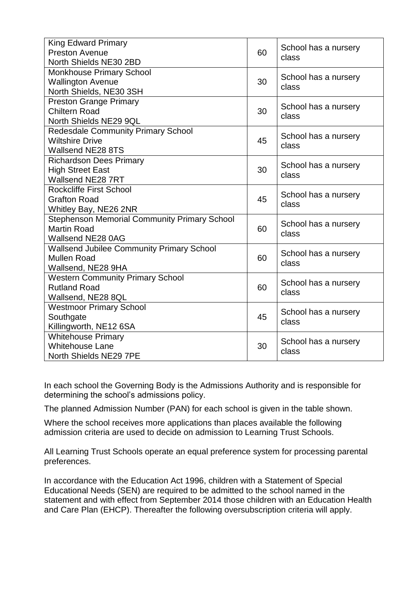| <b>King Edward Primary</b>                          | 60 | School has a nursery<br>class |
|-----------------------------------------------------|----|-------------------------------|
| <b>Preston Avenue</b><br>North Shields NE30 2BD     |    |                               |
| <b>Monkhouse Primary School</b>                     |    |                               |
| <b>Wallington Avenue</b>                            | 30 | School has a nursery          |
| North Shields, NE30 3SH                             |    | class                         |
| <b>Preston Grange Primary</b>                       |    |                               |
| <b>Chiltern Road</b>                                | 30 | School has a nursery          |
| North Shields NE29 9QL                              |    | class                         |
| <b>Redesdale Community Primary School</b>           |    |                               |
| <b>Wiltshire Drive</b>                              | 45 | School has a nursery<br>class |
| <b>Wallsend NE28 8TS</b>                            |    |                               |
| <b>Richardson Dees Primary</b>                      | 30 | School has a nursery<br>class |
| <b>High Street East</b>                             |    |                               |
| Wallsend NE28 7RT                                   |    |                               |
| <b>Rockcliffe First School</b>                      | 45 | School has a nursery<br>class |
| <b>Grafton Road</b>                                 |    |                               |
| Whitley Bay, NE26 2NR                               |    |                               |
| <b>Stephenson Memorial Community Primary School</b> |    | School has a nursery          |
| <b>Martin Road</b>                                  | 60 | class                         |
| Wallsend NE28 0AG                                   |    |                               |
| <b>Wallsend Jubilee Community Primary School</b>    |    | School has a nursery          |
| <b>Mullen Road</b>                                  | 60 | class                         |
| Wallsend, NE28 9HA                                  |    |                               |
| <b>Western Community Primary School</b>             | 60 | School has a nursery<br>class |
| <b>Rutland Road</b>                                 |    |                               |
| Wallsend, NE28 8QL                                  |    |                               |
| <b>Westmoor Primary School</b>                      |    | School has a nursery          |
| Southgate                                           | 45 | class                         |
| Killingworth, NE12 6SA                              |    |                               |
| <b>Whitehouse Primary</b>                           | 30 | School has a nursery<br>class |
| <b>Whitehouse Lane</b>                              |    |                               |
| North Shields NE29 7PE                              |    |                               |

In each school the Governing Body is the Admissions Authority and is responsible for determining the school's admissions policy.

The planned Admission Number (PAN) for each school is given in the table shown.

Where the school receives more applications than places available the following admission criteria are used to decide on admission to Learning Trust Schools.

All Learning Trust Schools operate an equal preference system for processing parental preferences.

In accordance with the Education Act 1996, children with a Statement of Special Educational Needs (SEN) are required to be admitted to the school named in the statement and with effect from September 2014 those children with an Education Health and Care Plan (EHCP). Thereafter the following oversubscription criteria will apply.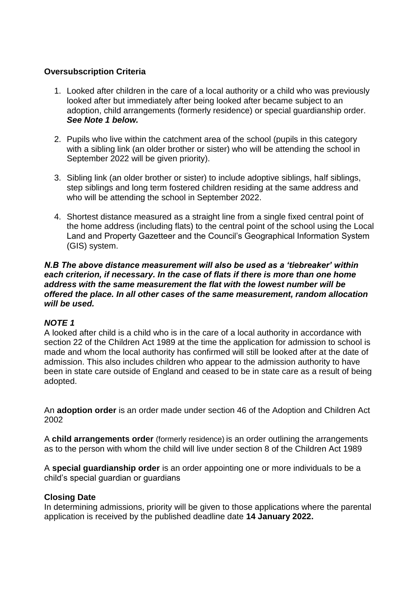## **Oversubscription Criteria**

- 1. Looked after children in the care of a local authority or a child who was previously looked after but immediately after being looked after became subject to an adoption, child arrangements (formerly residence) or special guardianship order. *See Note 1 below.*
- 2. Pupils who live within the catchment area of the school (pupils in this category with a sibling link (an older brother or sister) who will be attending the school in September 2022 will be given priority).
- 3. Sibling link (an older brother or sister) to include adoptive siblings, half siblings, step siblings and long term fostered children residing at the same address and who will be attending the school in September 2022.
- 4. Shortest distance measured as a straight line from a single fixed central point of the home address (including flats) to the central point of the school using the Local Land and Property Gazetteer and the Council's Geographical Information System (GIS) system.

### *N.B The above distance measurement will also be used as a 'tiebreaker' within each criterion, if necessary. In the case of flats if there is more than one home address with the same measurement the flat with the lowest number will be offered the place. In all other cases of the same measurement, random allocation will be used.*

# *NOTE 1*

A looked after child is a child who is in the care of a local authority in accordance with section 22 of the Children Act 1989 at the time the application for admission to school is made and whom the local authority has confirmed will still be looked after at the date of admission. This also includes children who appear to the admission authority to have been in state care outside of England and ceased to be in state care as a result of being adopted.

An **adoption order** is an order made under section 46 of the Adoption and Children Act 2002

A **child arrangements order** (formerly residence) is an order outlining the arrangements as to the person with whom the child will live under section 8 of the Children Act 1989

A **special guardianship order** is an order appointing one or more individuals to be a child's special guardian or guardians

### **Closing Date**

In determining admissions, priority will be given to those applications where the parental application is received by the published deadline date **14 January 2022.**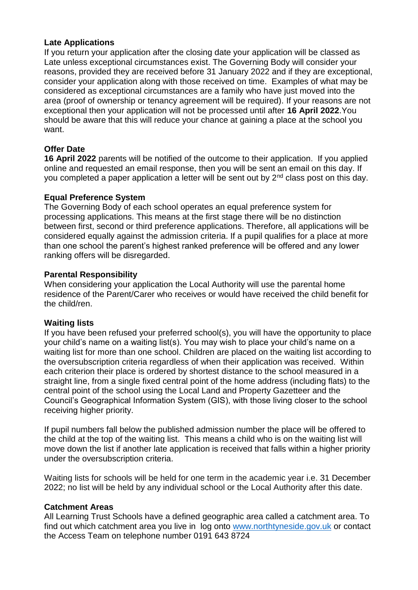### **Late Applications**

If you return your application after the closing date your application will be classed as Late unless exceptional circumstances exist. The Governing Body will consider your reasons, provided they are received before 31 January 2022 and if they are exceptional, consider your application along with those received on time. Examples of what may be considered as exceptional circumstances are a family who have just moved into the area (proof of ownership or tenancy agreement will be required). If your reasons are not exceptional then your application will not be processed until after **16 April 2022**.You should be aware that this will reduce your chance at gaining a place at the school you want.

# **Offer Date**

**16 April 2022** parents will be notified of the outcome to their application. If you applied online and requested an email response, then you will be sent an email on this day. If you completed a paper application a letter will be sent out by 2<sup>nd</sup> class post on this day.

### **Equal Preference System**

The Governing Body of each school operates an equal preference system for processing applications. This means at the first stage there will be no distinction between first, second or third preference applications. Therefore, all applications will be considered equally against the admission criteria. If a pupil qualifies for a place at more than one school the parent's highest ranked preference will be offered and any lower ranking offers will be disregarded.

### **Parental Responsibility**

When considering your application the Local Authority will use the parental home residence of the Parent/Carer who receives or would have received the child benefit for the child/ren.

### **Waiting lists**

If you have been refused your preferred school(s), you will have the opportunity to place your child's name on a waiting list(s). You may wish to place your child's name on a waiting list for more than one school. Children are placed on the waiting list according to the oversubscription criteria regardless of when their application was received. Within each criterion their place is ordered by shortest distance to the school measured in a straight line, from a single fixed central point of the home address (including flats) to the central point of the school using the Local Land and Property Gazetteer and the Council's Geographical Information System (GIS), with those living closer to the school receiving higher priority.

If pupil numbers fall below the published admission number the place will be offered to the child at the top of the waiting list. This means a child who is on the waiting list will move down the list if another late application is received that falls within a higher priority under the oversubscription criteria.

Waiting lists for schools will be held for one term in the academic year i.e. 31 December 2022; no list will be held by any individual school or the Local Authority after this date.

### **Catchment Areas**

All Learning Trust Schools have a defined geographic area called a catchment area. To find out which catchment area you live in log onto [www.northtyneside.gov.uk](http://www.northtyneside.gov.uk/) or contact the Access Team on telephone number 0191 643 8724